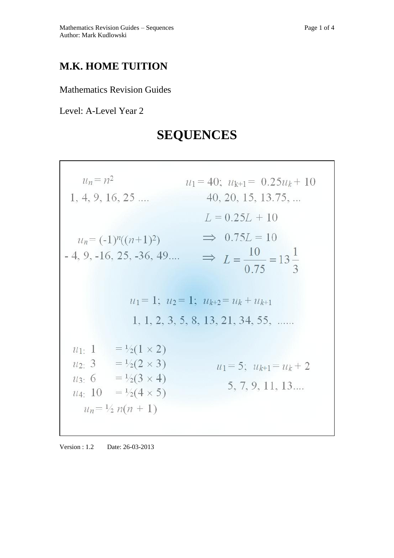## **M.K. HOME TUITION**

Mathematics Revision Guides

Level: A-Level Year 2

## **SEQUENCES**

| $u_n = n^2$                                                                                                                                                                                             | $u_1 = 40$ ; $u_{k+1} = 0.25u_k + 10$                                                          |
|---------------------------------------------------------------------------------------------------------------------------------------------------------------------------------------------------------|------------------------------------------------------------------------------------------------|
| $1, 4, 9, 16, 25 \ldots$                                                                                                                                                                                | $40, 20, 15, 13.75, \dots$                                                                     |
| $u_n = (-1)^n((n+1)^2)$<br>$-4, 9, -16, 25, -36, 49$                                                                                                                                                    | $L = 0.25L + 10$<br>$\implies$ 0.75L = 10<br>$\Rightarrow L = \frac{10}{0.75} = 13\frac{1}{3}$ |
| $u_1 = 1$ ; $u_2 = 1$ ; $u_{k+2} = u_k + u_{k+1}$                                                                                                                                                       |                                                                                                |
|                                                                                                                                                                                                         | 1, 1, 2, 3, 5, 8, 13, 21, 34, 55,                                                              |
| $u_1$ : 1<br>$= \frac{1}{2} (1 \times 2)$<br>$u_2$ : 3 = $\frac{1}{2}(2 \times 3)$<br>$u_3$ : 6 = $\frac{1}{2}(3 \times 4)$<br>$= \frac{1}{2} (4 \times 5)$<br>$u_4$ : 10<br>$u_n = \frac{1}{2} n(n+1)$ | $u_1 = 5$ ; $u_{k+1} = u_k + 2$<br>5, 7, 9, 11, 13                                             |

Version : 1.2 Date: 26-03-2013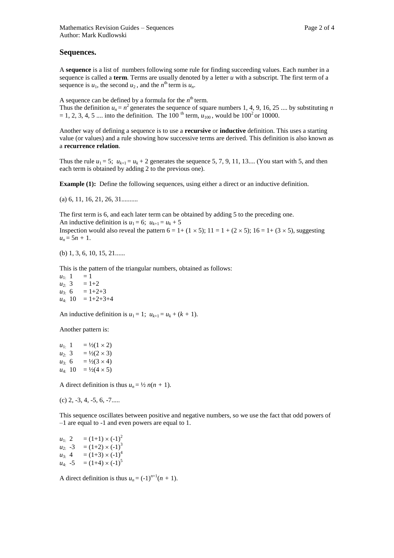## **Sequences.**

A **sequence** is a list of numbers following some rule for finding succeeding values. Each number in a sequence is called a **term**. Terms are usually denoted by a letter *u* with a subscript. The first term of a sequence is  $u_1$ , the second  $u_2$ , and the  $n^{\text{th}}$  term is  $u_n$ .

A sequence can be defined by a formula for the  $n<sup>th</sup>$  term.

Thus the definition  $u_n = n^2$  generates the sequence of square numbers 1, 4, 9, 16, 25 .... by substituting *n*  $= 1, 2, 3, 4, 5 \dots$  into the definition. The 100<sup>th</sup> term,  $u_{100}$ , would be 100<sup>2</sup> or 10000.

Another way of defining a sequence is to use a **recursive** or **inductive** definition. This uses a starting value (or values) and a rule showing how successive terms are derived. This definition is also known as a **recurrence relation**.

Thus the rule  $u_1 = 5$ ;  $u_{k+1} = u_k + 2$  generates the sequence 5, 7, 9, 11, 13.... (You start with 5, and then each term is obtained by adding 2 to the previous one).

**Example (1):** Define the following sequences, using either a direct or an inductive definition.

(a) 6, 11, 16, 21, 26, 31..........

The first term is 6, and each later term can be obtained by adding 5 to the preceding one.

An inductive definition is  $u_1 = 6$ ;  $u_{k+1} = u_k + 5$ 

Inspection would also reveal the pattern  $6 = 1 + (1 \times 5)$ ;  $11 = 1 + (2 \times 5)$ ;  $16 = 1 + (3 \times 5)$ , suggesting  $u_n = 5n + 1$ .

(b) 1, 3, 6, 10, 15, 21......

This is the pattern of the triangular numbers, obtained as follows:

 $u_1: 1 = 1$  $u_{2:}$  3 = 1+2  $u_{3:}$  6 = 1+2+3  $u_{4:}$  10 = 1+2+3+4

An inductive definition is  $u_1 = 1$ ;  $u_{k+1} = u_k + (k+1)$ .

Another pattern is:

 $u_1$ . 1 =  $\frac{1}{2}(1 \times 2)$  $u_{2:}$  3 =  $\frac{1}{2}(2 \times 3)$  $u_{3:} 6 = \frac{1}{2}(3 \times 4)$  $u_4$ . 10 =  $\frac{1}{2}(4 \times 5)$ 

A direct definition is thus  $u_n = \frac{1}{2} n(n + 1)$ .

(c) 2, -3, 4, -5, 6, -7.....

This sequence oscillates between positive and negative numbers, so we use the fact that odd powers of –1 are equal to -1 and even powers are equal to 1.

 $u_1$ . 2 = (1+1)  $\times$  (-1)<sup>2</sup>  $u_{2:}$  -3 = (1+2)  $\times$  (-1)<sup>3</sup>  $u_3$ . 4 = (1+3)  $\times$  (-1)<sup>4</sup>  $u_4$ : -5 = (1+4)  $\times$  (-1)<sup>5</sup>

A direct definition is thus  $u_n = (-1)^{n+1}(n+1)$ .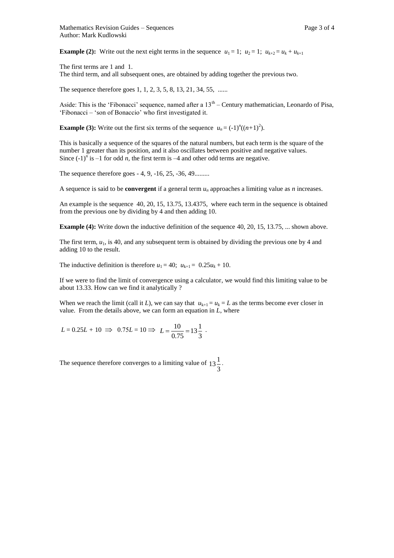**Example (2):** Write out the next eight terms in the sequence  $u_1 = 1$ ;  $u_2 = 1$ ;  $u_{k+2} = u_k + u_{k+1}$ 

The first terms are 1 and 1. The third term, and all subsequent ones, are obtained by adding together the previous two.

The sequence therefore goes 1, 1, 2, 3, 5, 8, 13, 21, 34, 55, ......

Aside: This is the 'Fibonacci' sequence, named after a 13<sup>th</sup> – Century mathematician, Leonardo of Pisa, 'Fibonacci – 'son of Bonaccio' who first investigated it.

**Example (3):** Write out the first six terms of the sequence  $u_n = (-1)^n((n+1)^2)$ .

This is basically a sequence of the squares of the natural numbers, but each term is the square of the number 1 greater than its position, and it also oscillates between positive and negative values. Since  $(-1)^n$  is  $-1$  for odd *n*, the first term is  $-4$  and other odd terms are negative.

The sequence therefore goes - 4, 9, -16, 25, -36, 49.........

A sequence is said to be **convergent** if a general term  $u_n$  approaches a limiting value as *n* increases.

An example is the sequence 40, 20, 15, 13.75, 13.4375, where each term in the sequence is obtained from the previous one by dividing by 4 and then adding 10.

**Example (4):** Write down the inductive definition of the sequence 40, 20, 15, 13.75, ... shown above.

The first term,  $u_1$ , is 40, and any subsequent term is obtained by dividing the previous one by 4 and adding 10 to the result.

The inductive definition is therefore  $u_1 = 40$ ;  $u_{k+1} = 0.25u_k + 10$ .

If we were to find the limit of convergence using a calculator, we would find this limiting value to be about 13.33. How can we find it analytically ?

When we reach the limit (call it *L*), we can say that  $u_{k+1} = u_k = L$  as the terms become ever closer in value. From the details above, we can form an equation in *L*, where

$$
L = 0.25L + 10 \implies 0.75L = 10 \implies L = \frac{10}{0.75} = 13\frac{1}{3} \text{ .}
$$

The sequence therefore converges to a limiting value of 3  $13\frac{1}{2}$ .